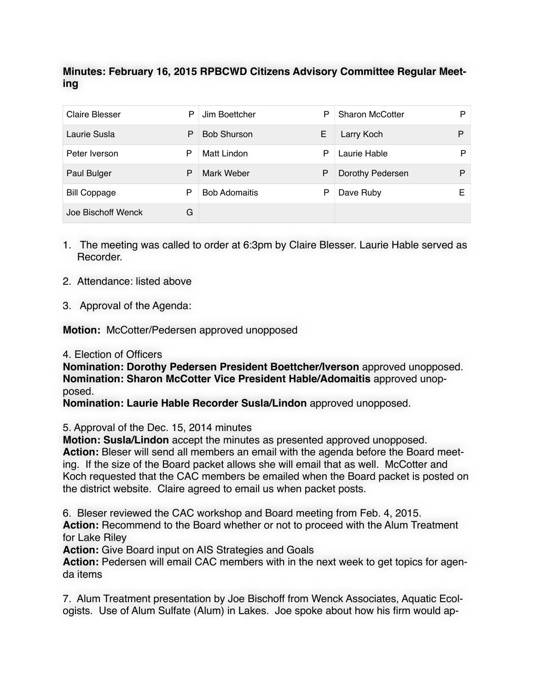## **Minutes: February 16, 2015 RPBCWD Citizens Advisory Committee Regular Meeting**

| <b>Claire Blesser</b> | P | Jim Boettcher        | P | <b>Sharon McCotter</b> | P |
|-----------------------|---|----------------------|---|------------------------|---|
| Laurie Susla          | P | <b>Bob Shurson</b>   | Е | Larry Koch             | P |
| Peter Iverson         | P | Matt Lindon          | P | Laurie Hable           | Þ |
| Paul Bulger           | P | Mark Weber           | P | Dorothy Pedersen       | P |
| <b>Bill Coppage</b>   | P | <b>Bob Adomaitis</b> | Р | Dave Ruby              | E |
| Joe Bischoff Wenck    | G |                      |   |                        |   |

- 1. The meeting was called to order at 6:3pm by Claire Blesser. Laurie Hable served as Recorder.
- 2. Attendance: listed above
- 3. Approval of the Agenda:

**Motion:** McCotter/Pedersen approved unopposed

4. Election of Officers

**Nomination: Dorothy Pedersen President Boettcher/Iverson** approved unopposed. **Nomination: Sharon McCotter Vice President Hable/Adomaitis** approved unopposed.

**Nomination: Laurie Hable Recorder Susla/Lindon** approved unopposed.

## 5. Approval of the Dec. 15, 2014 minutes

**Motion: Susla/Lindon** accept the minutes as presented approved unopposed. **Action:** Bleser will send all members an email with the agenda before the Board meeting. If the size of the Board packet allows she will email that as well. McCotter and Koch requested that the CAC members be emailed when the Board packet is posted on the district website. Claire agreed to email us when packet posts.

6. Bleser reviewed the CAC workshop and Board meeting from Feb. 4, 2015. **Action:** Recommend to the Board whether or not to proceed with the Alum Treatment for Lake Riley

**Action:** Give Board input on AIS Strategies and Goals

**Action:** Pedersen will email CAC members with in the next week to get topics for agenda items

7. Alum Treatment presentation by Joe Bischoff from Wenck Associates, Aquatic Ecologists. Use of Alum Sulfate (Alum) in Lakes. Joe spoke about how his firm would ap